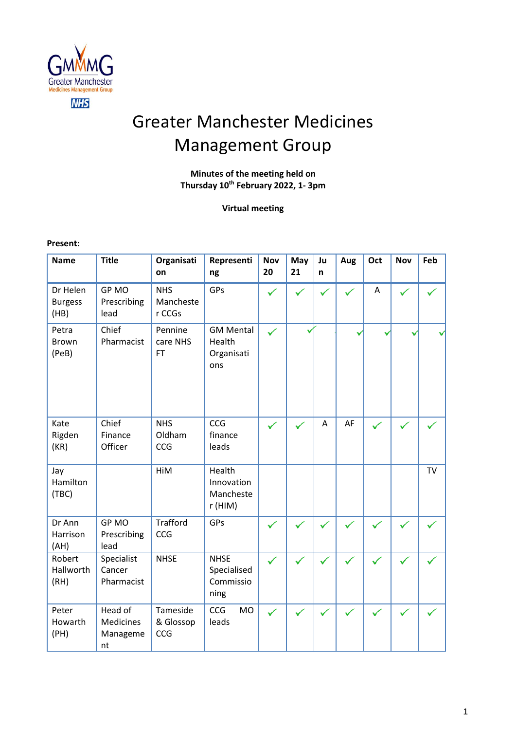

# Greater Manchester Medicines Management Group

# **Minutes of the meeting held on Thursday 10 th February 2022, 1- 3pm**

# **Virtual meeting**

#### **Present:**

| <b>Name</b>                        | <b>Title</b>                                  | Organisati<br>on                  | Representi<br>ng                                | <b>Nov</b><br>20 | May<br>21 | Ju<br>n      | Aug | Oct | <b>Nov</b> | Feb       |
|------------------------------------|-----------------------------------------------|-----------------------------------|-------------------------------------------------|------------------|-----------|--------------|-----|-----|------------|-----------|
| Dr Helen<br><b>Burgess</b><br>(HB) | GP MO<br>Prescribing<br>lead                  | <b>NHS</b><br>Mancheste<br>r CCGs | GPs                                             |                  |           |              |     | A   |            |           |
| Petra<br><b>Brown</b><br>(PeB)     | Chief<br>Pharmacist                           | Pennine<br>care NHS<br><b>FT</b>  | <b>GM Mental</b><br>Health<br>Organisati<br>ons | ✓                |           |              |     |     |            |           |
| Kate<br>Rigden<br>(KR)             | Chief<br>Finance<br>Officer                   | <b>NHS</b><br>Oldham<br>CCG       | CCG<br>finance<br>leads                         |                  |           | A            | AF  |     |            |           |
| Jay<br>Hamilton<br>(TBC)           |                                               | HiM                               | Health<br>Innovation<br>Mancheste<br>r (HIM)    |                  |           |              |     |     |            | <b>TV</b> |
| Dr Ann<br>Harrison<br>(AH)         | GP MO<br>Prescribing<br>lead                  | <b>Trafford</b><br>CCG            | GPs                                             |                  |           | $\checkmark$ |     | ✓   |            |           |
| Robert<br>Hallworth<br>(RH)        | Specialist<br>Cancer<br>Pharmacist            | <b>NHSE</b>                       | <b>NHSE</b><br>Specialised<br>Commissio<br>ning |                  |           | $\checkmark$ |     |     |            |           |
| Peter<br>Howarth<br>(PH)           | Head of<br><b>Medicines</b><br>Manageme<br>nt | Tameside<br>& Glossop<br>CCG      | <b>CCG</b><br><b>MO</b><br>leads                |                  |           | ✓            |     |     |            |           |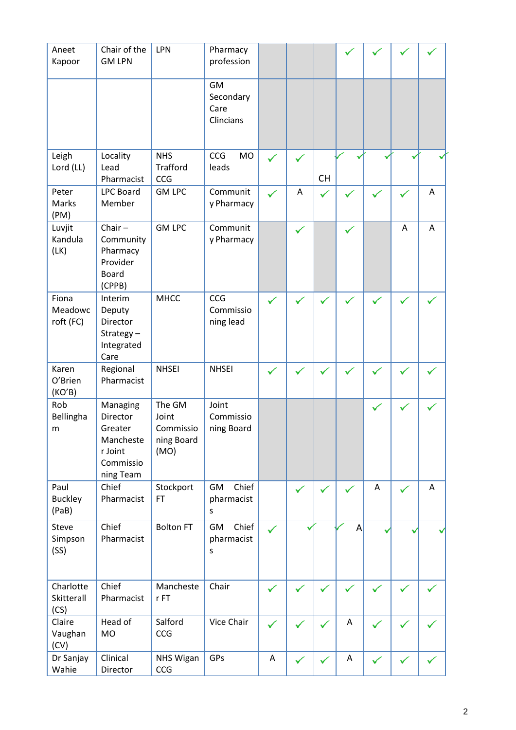| Aneet<br>Kapoor                 | Chair of the<br><b>GM LPN</b>                                                     | LPN                                                | Pharmacy<br>profession                      |              |              |              |   |              |   |   |
|---------------------------------|-----------------------------------------------------------------------------------|----------------------------------------------------|---------------------------------------------|--------------|--------------|--------------|---|--------------|---|---|
|                                 |                                                                                   |                                                    | <b>GM</b><br>Secondary<br>Care<br>Clincians |              |              |              |   |              |   |   |
| Leigh<br>Lord (LL)              | Locality<br>Lead<br>Pharmacist                                                    | <b>NHS</b><br><b>Trafford</b><br>CCG               | CCG<br><b>MO</b><br>leads                   | ✓            | ✓            | <b>CH</b>    |   |              |   |   |
| Peter<br>Marks<br>(PM)          | <b>LPC Board</b><br>Member                                                        | <b>GM LPC</b>                                      | Communit<br>y Pharmacy                      |              | A            | $\checkmark$ |   |              |   | Α |
| Luvjit<br>Kandula<br>(LK)       | Chair $-$<br>Community<br>Pharmacy<br>Provider<br><b>Board</b><br>(CPPB)          | <b>GM LPC</b>                                      | Communit<br>y Pharmacy                      |              | ✓            |              | ✓ |              | A | A |
| Fiona<br>Meadowc<br>roft (FC)   | Interim<br>Deputy<br>Director<br>Strategy-<br>Integrated<br>Care                  | <b>MHCC</b>                                        | CCG<br>Commissio<br>ning lead               | $\checkmark$ | $\checkmark$ | ✓            |   |              |   |   |
| Karen<br>O'Brien<br>(KO'B)      | Regional<br>Pharmacist                                                            | <b>NHSEI</b>                                       | <b>NHSEI</b>                                | ✓            |              | v            |   |              |   |   |
| Rob<br>Bellingha<br>m           | Managing<br>Director<br>Greater<br>Mancheste<br>r Joint<br>Commissio<br>ning Team | The GM<br>Joint<br>Commissio<br>ning Board<br>(MO) | Joint<br>Commissio<br>ning Board            |              |              |              |   |              |   |   |
| Paul<br><b>Buckley</b><br>(PaB) | Chief<br>Pharmacist                                                               | Stockport<br><b>FT</b>                             | Chief<br>GM<br>pharmacist<br>S              |              | ✓            | ✓            |   | A            | ✓ | A |
| Steve<br>Simpson<br>(SS)        | Chief<br>Pharmacist                                                               | <b>Bolton FT</b>                                   | Chief<br>GM<br>pharmacist<br>S              | ✓            |              |              | A |              |   |   |
| Charlotte<br>Skitterall<br>(CS) | Chief<br>Pharmacist                                                               | Mancheste<br>$r$ FT                                | Chair                                       | $\checkmark$ |              | $\checkmark$ |   |              |   |   |
| Claire<br>Vaughan<br>(CV)       | Head of<br><b>MO</b>                                                              | Salford<br>CCG                                     | Vice Chair                                  | ✓            | ✓            | ✓            | A | ✓            | ✓ |   |
| Dr Sanjay<br>Wahie              | Clinical<br>Director                                                              | NHS Wigan<br>CCG                                   | GPs                                         | A            | ✓            | ✓            | Α | $\checkmark$ | ✓ |   |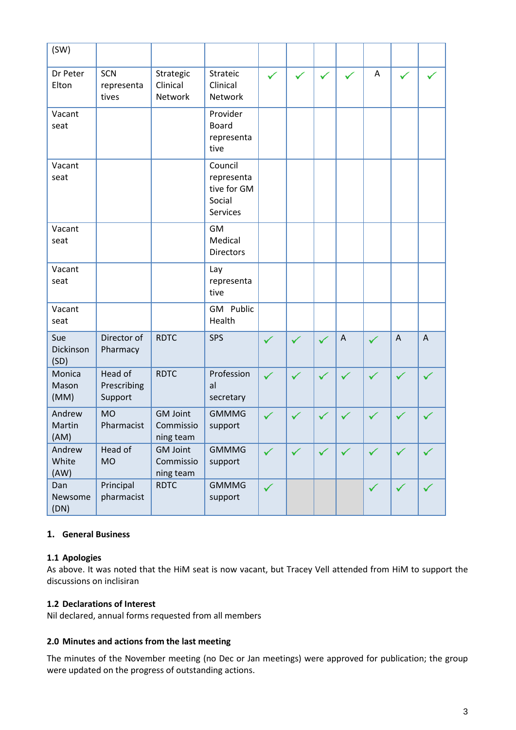| (SW)                     |                                   |                                           |                                                            |   |              |              |                           |              |              |                |
|--------------------------|-----------------------------------|-------------------------------------------|------------------------------------------------------------|---|--------------|--------------|---------------------------|--------------|--------------|----------------|
| Dr Peter<br>Elton        | SCN<br>representa<br>tives        | Strategic<br>Clinical<br>Network          | Strateic<br>Clinical<br>Network                            |   | $\checkmark$ | $\checkmark$ |                           | A            |              |                |
| Vacant<br>seat           |                                   |                                           | Provider<br><b>Board</b><br>representa<br>tive             |   |              |              |                           |              |              |                |
| Vacant<br>seat           |                                   |                                           | Council<br>representa<br>tive for GM<br>Social<br>Services |   |              |              |                           |              |              |                |
| Vacant<br>seat           |                                   |                                           | <b>GM</b><br>Medical<br><b>Directors</b>                   |   |              |              |                           |              |              |                |
| Vacant<br>seat           |                                   |                                           | Lay<br>representa<br>tive                                  |   |              |              |                           |              |              |                |
| Vacant<br>seat           |                                   |                                           | GM Public<br>Health                                        |   |              |              |                           |              |              |                |
| Sue<br>Dickinson<br>(SD) | Director of<br>Pharmacy           | <b>RDTC</b>                               | <b>SPS</b>                                                 | ✓ |              |              | $\boldsymbol{\mathsf{A}}$ |              | $\bigwedge$  | $\overline{A}$ |
| Monica<br>Mason<br>(MM)  | Head of<br>Prescribing<br>Support | <b>RDTC</b>                               | Profession<br>al<br>secretary                              | ✓ | $\checkmark$ | $\checkmark$ |                           | $\checkmark$ | $\checkmark$ | ✓              |
| Andrew<br>Martin<br>(AM) | <b>MO</b><br>Pharmacist           | <b>GM Joint</b><br>Commissio<br>ning team | <b>GMMMG</b><br>support                                    | ✓ |              |              | ✓                         |              |              |                |
| Andrew<br>White<br>(AW)  | Head of<br><b>MO</b>              | <b>GM Joint</b><br>Commissio<br>ning team | <b>GMMMG</b><br>support                                    | ✓ |              | $\checkmark$ | $\checkmark$              | $\checkmark$ |              | ✓              |
| Dan<br>Newsome<br>(DN)   | Principal<br>pharmacist           | <b>RDTC</b>                               | <b>GMMMG</b><br>support                                    | ✓ |              |              |                           | $\checkmark$ | ✓            | ✓              |

# **1. General Business**

# **1.1 Apologies**

As above. It was noted that the HiM seat is now vacant, but Tracey Vell attended from HiM to support the discussions on inclisiran

# **1.2 Declarations of Interest**

Nil declared, annual forms requested from all members

## **2.0 Minutes and actions from the last meeting**

The minutes of the November meeting (no Dec or Jan meetings) were approved for publication; the group were updated on the progress of outstanding actions.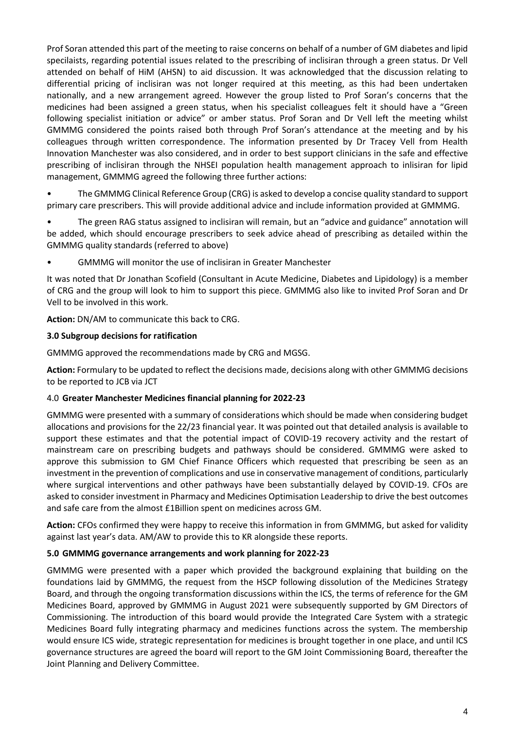Prof Soran attended this part of the meeting to raise concerns on behalf of a number of GM diabetes and lipid specilaists, regarding potential issues related to the prescribing of inclisiran through a green status. Dr Vell attended on behalf of HiM (AHSN) to aid discussion. It was acknowledged that the discussion relating to differential pricing of inclisiran was not longer required at this meeting, as this had been undertaken nationally, and a new arrangement agreed. However the group listed to Prof Soran's concerns that the medicines had been assigned a green status, when his specialist colleagues felt it should have a "Green following specialist initiation or advice" or amber status. Prof Soran and Dr Vell left the meeting whilst GMMMG considered the points raised both through Prof Soran's attendance at the meeting and by his colleagues through written correspondence. The information presented by Dr Tracey Vell from Health Innovation Manchester was also considered, and in order to best support clinicians in the safe and effective prescribing of inclisiran through the NHSEI population health management approach to inlisiran for lipid management, GMMMG agreed the following three further actions:

• The GMMMG Clinical Reference Group (CRG) is asked to develop a concise quality standard to support primary care prescribers. This will provide additional advice and include information provided at GMMMG.

• The green RAG status assigned to inclisiran will remain, but an "advice and guidance" annotation will be added, which should encourage prescribers to seek advice ahead of prescribing as detailed within the GMMMG quality standards (referred to above)

• GMMMG will monitor the use of inclisiran in Greater Manchester

It was noted that Dr Jonathan Scofield (Consultant in Acute Medicine, Diabetes and Lipidology) is a member of CRG and the group will look to him to support this piece. GMMMG also like to invited Prof Soran and Dr Vell to be involved in this work.

**Action:** DN/AM to communicate this back to CRG.

## **3.0 Subgroup decisions for ratification**

GMMMG approved the recommendations made by CRG and MGSG.

**Action:** Formulary to be updated to reflect the decisions made, decisions along with other GMMMG decisions to be reported to JCB via JCT

#### 4.0 **Greater Manchester Medicines financial planning for 2022-23**

GMMMG were presented with a summary of considerations which should be made when considering budget allocations and provisions for the 22/23 financial year. It was pointed out that detailed analysis is available to support these estimates and that the potential impact of COVID-19 recovery activity and the restart of mainstream care on prescribing budgets and pathways should be considered. GMMMG were asked to approve this submission to GM Chief Finance Officers which requested that prescribing be seen as an investment in the prevention of complications and use in conservative management of conditions, particularly where surgical interventions and other pathways have been substantially delayed by COVID-19. CFOs are asked to consider investment in Pharmacy and Medicines Optimisation Leadership to drive the best outcomes and safe care from the almost £1Billion spent on medicines across GM.

**Action:** CFOs confirmed they were happy to receive this information in from GMMMG, but asked for validity against last year's data. AM/AW to provide this to KR alongside these reports.

#### **5.0 GMMMG governance arrangements and work planning for 2022-23**

GMMMG were presented with a paper which provided the background explaining that building on the foundations laid by GMMMG, the request from the HSCP following dissolution of the Medicines Strategy Board, and through the ongoing transformation discussions within the ICS, the terms of reference for the GM Medicines Board, approved by GMMMG in August 2021 were subsequently supported by GM Directors of Commissioning. The introduction of this board would provide the Integrated Care System with a strategic Medicines Board fully integrating pharmacy and medicines functions across the system. The membership would ensure ICS wide, strategic representation for medicines is brought together in one place, and until ICS governance structures are agreed the board will report to the GM Joint Commissioning Board, thereafter the Joint Planning and Delivery Committee.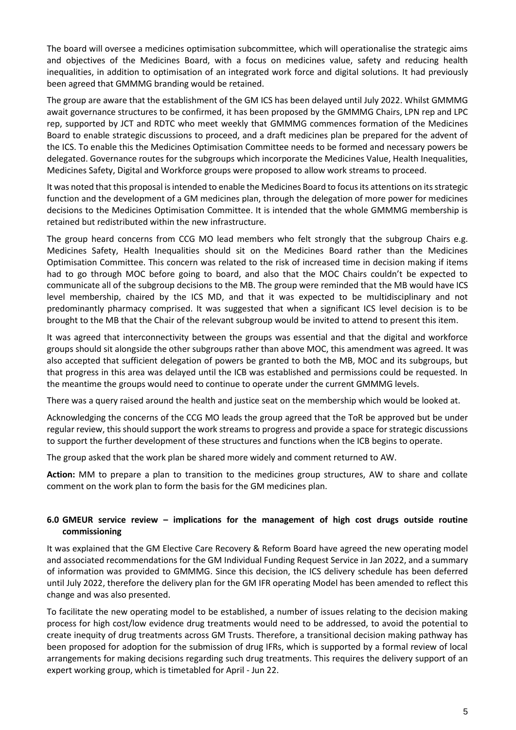The board will oversee a medicines optimisation subcommittee, which will operationalise the strategic aims and objectives of the Medicines Board, with a focus on medicines value, safety and reducing health inequalities, in addition to optimisation of an integrated work force and digital solutions. It had previously been agreed that GMMMG branding would be retained.

The group are aware that the establishment of the GM ICS has been delayed until July 2022. Whilst GMMMG await governance structures to be confirmed, it has been proposed by the GMMMG Chairs, LPN rep and LPC rep, supported by JCT and RDTC who meet weekly that GMMMG commences formation of the Medicines Board to enable strategic discussions to proceed, and a draft medicines plan be prepared for the advent of the ICS. To enable this the Medicines Optimisation Committee needs to be formed and necessary powers be delegated. Governance routes for the subgroups which incorporate the Medicines Value, Health Inequalities, Medicines Safety, Digital and Workforce groups were proposed to allow work streams to proceed.

It was noted that this proposal is intended to enable the Medicines Board to focus its attentions on its strategic function and the development of a GM medicines plan, through the delegation of more power for medicines decisions to the Medicines Optimisation Committee. It is intended that the whole GMMMG membership is retained but redistributed within the new infrastructure.

The group heard concerns from CCG MO lead members who felt strongly that the subgroup Chairs e.g. Medicines Safety, Health Inequalities should sit on the Medicines Board rather than the Medicines Optimisation Committee. This concern was related to the risk of increased time in decision making if items had to go through MOC before going to board, and also that the MOC Chairs couldn't be expected to communicate all of the subgroup decisions to the MB. The group were reminded that the MB would have ICS level membership, chaired by the ICS MD, and that it was expected to be multidisciplinary and not predominantly pharmacy comprised. It was suggested that when a significant ICS level decision is to be brought to the MB that the Chair of the relevant subgroup would be invited to attend to present this item.

It was agreed that interconnectivity between the groups was essential and that the digital and workforce groups should sit alongside the other subgroups rather than above MOC, this amendment was agreed. It was also accepted that sufficient delegation of powers be granted to both the MB, MOC and its subgroups, but that progress in this area was delayed until the ICB was established and permissions could be requested. In the meantime the groups would need to continue to operate under the current GMMMG levels.

There was a query raised around the health and justice seat on the membership which would be looked at.

Acknowledging the concerns of the CCG MO leads the group agreed that the ToR be approved but be under regular review, this should support the work streams to progress and provide a space for strategic discussions to support the further development of these structures and functions when the ICB begins to operate.

The group asked that the work plan be shared more widely and comment returned to AW.

**Action:** MM to prepare a plan to transition to the medicines group structures, AW to share and collate comment on the work plan to form the basis for the GM medicines plan.

## **6.0 GMEUR service review – implications for the management of high cost drugs outside routine commissioning**

It was explained that the GM Elective Care Recovery & Reform Board have agreed the new operating model and associated recommendations for the GM Individual Funding Request Service in Jan 2022, and a summary of information was provided to GMMMG. Since this decision, the ICS delivery schedule has been deferred until July 2022, therefore the delivery plan for the GM IFR operating Model has been amended to reflect this change and was also presented.

To facilitate the new operating model to be established, a number of issues relating to the decision making process for high cost/low evidence drug treatments would need to be addressed, to avoid the potential to create inequity of drug treatments across GM Trusts. Therefore, a transitional decision making pathway has been proposed for adoption for the submission of drug IFRs, which is supported by a formal review of local arrangements for making decisions regarding such drug treatments. This requires the delivery support of an expert working group, which is timetabled for April - Jun 22.